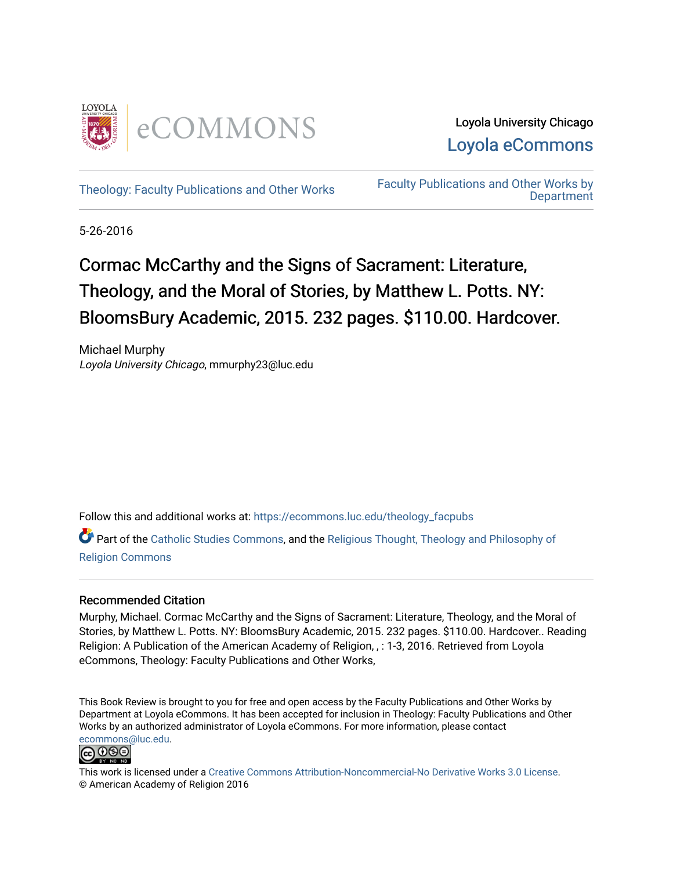

Loyola University Chicago [Loyola eCommons](https://ecommons.luc.edu/) 

[Theology: Faculty Publications and Other Works](https://ecommons.luc.edu/theology_facpubs) Faculty Publications and Other Works by **Department** 

5-26-2016

## Cormac McCarthy and the Signs of Sacrament: Literature, Theology, and the Moral of Stories, by Matthew L. Potts. NY: BloomsBury Academic, 2015. 232 pages. \$110.00. Hardcover.

Michael Murphy Loyola University Chicago, mmurphy23@luc.edu

Follow this and additional works at: [https://ecommons.luc.edu/theology\\_facpubs](https://ecommons.luc.edu/theology_facpubs?utm_source=ecommons.luc.edu%2Ftheology_facpubs%2F79&utm_medium=PDF&utm_campaign=PDFCoverPages)

Part of the [Catholic Studies Commons](http://network.bepress.com/hgg/discipline/1294?utm_source=ecommons.luc.edu%2Ftheology_facpubs%2F79&utm_medium=PDF&utm_campaign=PDFCoverPages), and the [Religious Thought, Theology and Philosophy of](http://network.bepress.com/hgg/discipline/544?utm_source=ecommons.luc.edu%2Ftheology_facpubs%2F79&utm_medium=PDF&utm_campaign=PDFCoverPages)  [Religion Commons](http://network.bepress.com/hgg/discipline/544?utm_source=ecommons.luc.edu%2Ftheology_facpubs%2F79&utm_medium=PDF&utm_campaign=PDFCoverPages)

## Recommended Citation

Murphy, Michael. Cormac McCarthy and the Signs of Sacrament: Literature, Theology, and the Moral of Stories, by Matthew L. Potts. NY: BloomsBury Academic, 2015. 232 pages. \$110.00. Hardcover.. Reading Religion: A Publication of the American Academy of Religion, , : 1-3, 2016. Retrieved from Loyola eCommons, Theology: Faculty Publications and Other Works,

This Book Review is brought to you for free and open access by the Faculty Publications and Other Works by Department at Loyola eCommons. It has been accepted for inclusion in Theology: Faculty Publications and Other Works by an authorized administrator of Loyola eCommons. For more information, please contact [ecommons@luc.edu](mailto:ecommons@luc.edu).



This work is licensed under a [Creative Commons Attribution-Noncommercial-No Derivative Works 3.0 License.](https://creativecommons.org/licenses/by-nc-nd/3.0/) © American Academy of Religion 2016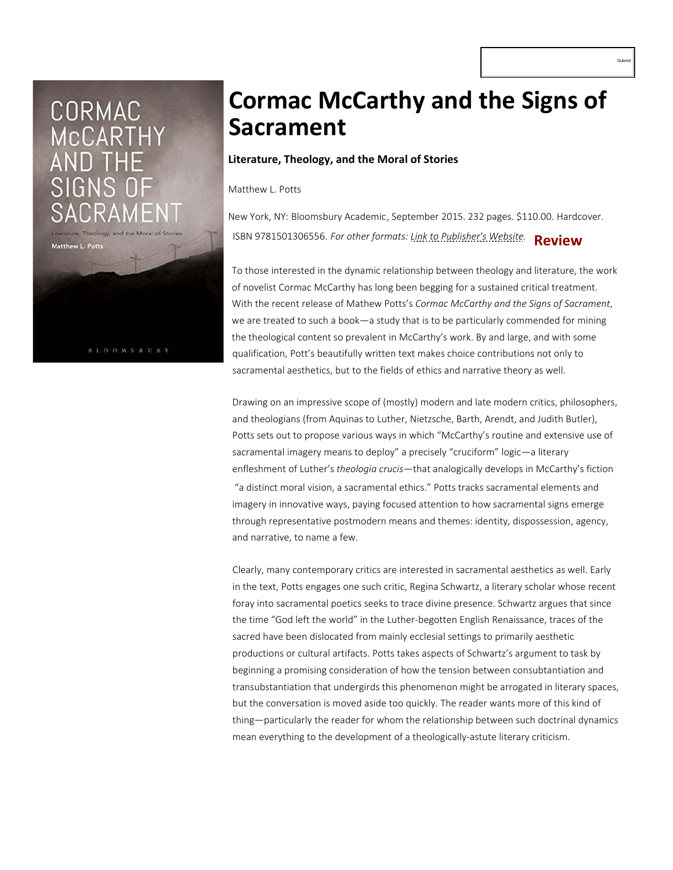# CORMAC **McCARTHY**

Matthew L. Pott

**BLOOMSBUF** 

# **[Cormac McCarthy and](http://readingreligion.org/) the Signs of Sacrament**

### **Literature, Theology, and the Moral of Stories**

Matthew L. Potts

New York, NY: Bloomsbury Academic, September 2015. 232 pages. \$110.00. Hardcover. ISBN 9781501306556. *For other formats: Link to Publisher's Website.* **Review**

To those interested in the dynamic relationship between theology and literature, the work of novelist Cormac McCarthy has long been begging for a sustained critical treatment. With the recent release of Mathew Potts's *Cormac McCarthy and the Signs of Sacrament*, we are treated to such a book—a study that is to be particularly commended for mining the theological content so prevalent in McCarthy's work. By and large, and with some qualification, Pott's beautifully written text makes choice contributions not only to sacramental aesthetics, but to the fields of ethics and narrative theory as well.

Drawing on an impressive scope of (mostly) modern and late modern critics, philosophers, and theologians (from Aquinas to Luther, Nietzsche, Barth, Arendt, and Judith Butler), Potts sets out to propose various ways in which "McCarthy's routine and extensive use of sacramental imagery means to deploy" a precisely "cruciform" logic—a literary enfleshment of Luther's *theologia crucis*—that analogically develops in McCarthy's fiction  ["a distinct mo](http://readingreligion.org/filters/reviews-coming-soon)ral visi[on, a sacramental ethic](http://readingreligion.org/filters/received)s." Pot[ts tracks sa](http://readingreligion.org/books)crame[ntal elements an](http://readingreligion.org/editor-s-corner)d imagery in innovative ways, paying focused attention to how sacramental signs emerge through representative postmodern means and themes: identity, dispossession, agency, and narrative, to name a few.

Clearly, many contemporary critics are interested in sacramental aesthetics as well. Early in the text, Potts engages one such critic, Regina Schwartz, a literary scholar whose recent foray into sacramental poetics seeks to trace divine presence. Schwartz argues that since the time "God left the world" in the Luther-begotten English Renaissance, traces of the sacred have been dislocated from mainly ecclesial settings to primarily aesthetic p[rod](http://reddit.com/submit?url=http://readingreligion.org/books/cormac-mccarthy-and-signs-sacrament&title=Cormac McCarthy and the Signs of Sacrament)ucti[ons](http://twitter.com/share?url=http://readingreligion.org/books/cormac-mccarthy-and-signs-sacrament&text=Cormac McCarthy and the Signs of Sacrament http://readingreligion.org/books/cormac-mccarthy-and-signs-sacrament via @[socialmedia:sm-twitter_username]) [or c](http://www.facebook.com/sharer.php?u=http://readingreligion.org/books/cormac-mccarthy-and-signs-sacrament&t=Cormac McCarthy and the Signs of Sacrament)[ultu](http://www.google.com/bookmarks/mark?op=add&bkmk=http://readingreligion.org/books/cormac-mccarthy-and-signs-sacrament&title=Cormac McCarthy and the Signs of Sacrament)[ral](http://www.linkedin.com/shareArticle?mini=true&url=http://readingreligion.org/books/cormac-mccarthy-and-signs-sacrament&title=Cormac McCarthy and the Signs of Sacrament) artifacts. Potts takes aspects of Schwartz's argument to task by beginning a promising consideration of how the tension between consubtantiation and transubstantiation that undergirds this phenomenon might be arrogated in literary spaces, but the conversation is moved aside too quickly. The reader wants more of this kind of thing—particularly the reader for whom th[e relationship between such](http://www.bloomsbury.com/us/cormac-mccarthy-and-the-signs-of-sacrament-9781501306556/) doctrinal dynamics mean everything to the development of a theologically-astute literary criticism.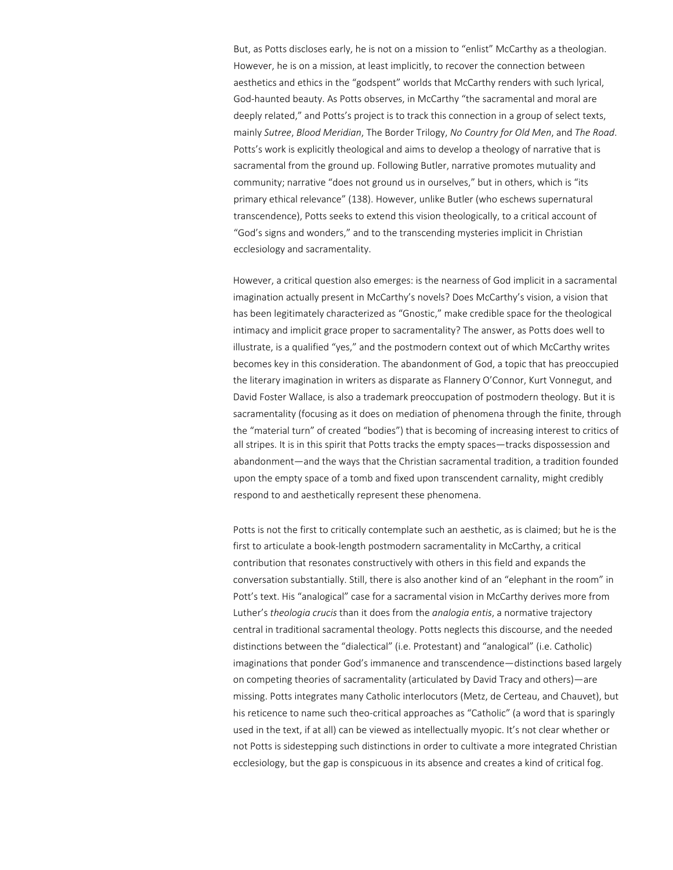But, as Potts discloses early, he is not on a mission to "enlist" McCarthy as a theologian. However, he is on a mission, at least implicitly, to recover the connection between aesthetics and ethics in the "godspent" worlds that McCarthy renders with such lyrical, God-haunted beauty. As Potts observes, in McCarthy "the sacramental and moral are deeply related," and Potts's project is to track this connection in a group of select texts, mainly *Sutree*, *Blood Meridian*, The Border Trilogy, *No Country for Old Men*, and *The Road*. Potts's work is explicitly theological and aims to develop a theology of narrative that is sacramental from the ground up. Following Butler, narrative promotes mutuality and community; narrative "does not ground us in ourselves," but in others, which is "its primary ethical relevance" (138). However, unlike Butler (who eschews supernatural transcendence), Potts seeks to extend this vision theologically, to a critical account of "God's signs and wonders," and to the transcending mysteries implicit in Christian ecclesiology and sacramentality.

However, a critical question also emerges: is the nearness of God implicit in a sacramental imagination actually present in McCarthy's novels? Does McCarthy's vision, a vision that has been legitimately characterized as "Gnostic," make credible space for the theological intimacy and implicit grace proper to sacramentality? The answer, as Potts does well to illustrate, is a qualified "yes," and the postmodern context out of which McCarthy writes becomes key in this consideration. The abandonment of God, a topic that has preoccupied the literary imagination in writers as disparate as Flannery O'Connor, Kurt Vonnegut, and David Foster Wallace, is also a trademark preoccupation of postmodern theology. But it is sacramentality (focusing as it does on mediation of phenomena through the finite, through the "material turn" of created "bodies") that is becoming of increasing interest to critics of all stripes. It is in this spirit that Potts tracks the empty spaces—tracks dispossession and abandonment—and the ways that the Christian sacramental tradition, a tradition founded upon the empty space of a tomb and fixed upon transcendent carnality, might credibly respond to and aesthetically represent these phenomena.

Potts is not the first to critically contemplate such an aesthetic, as is claimed; but he is the first to articulate a book-length postmodern sacramentality in McCarthy, a critical contribution that resonates constructively with others in this field and expands the conversation substantially. Still, there is also another kind of an "elephant in the room" in Pott's text. His "analogical" case for a sacramental vision in McCarthy derives more from Luther's *theologia crucis* than it does from the *analogia entis*, a normative trajectory central in traditional sacramental theology. Potts neglects this discourse, and the needed distinctions between the "dialectical" (i.e. Protestant) and "analogical" (i.e. Catholic) imaginations that ponder God's immanence and transcendence—distinctions based largely on competing theories of sacramentality (articulated by David Tracy and others)—are missing. Potts integrates many Catholic interlocutors (Metz, de Certeau, and Chauvet), but his reticence to name such theo-critical approaches as "Catholic" (a word that is sparingly used in the text, if at all) can be viewed as intellectually myopic. It's not clear whether or not Potts is sidestepping such distinctions in order to cultivate a more integrated Christian ecclesiology, but the gap is conspicuous in its absence and creates a kind of critical fog.